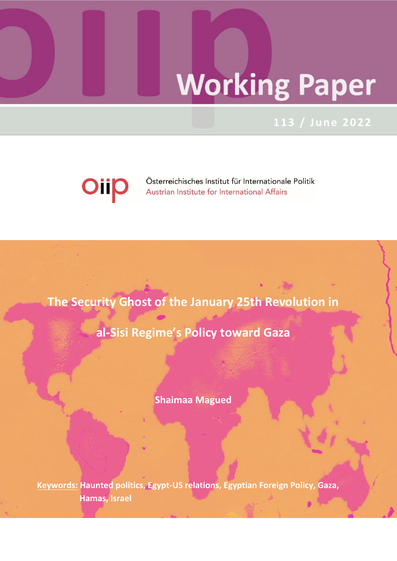# **Working Paper**

# **113 / Ju ne 2022**



**The Security Ghost of the January 25th Revolution in** 

**al-Sisi Regime's Policy toward Gaza** 

**Shaimaa Magued**

**Keywords: Haunted politics, Egypt-US relations, Egyptian Foreign Policy, Gaza, Hamas, Israel**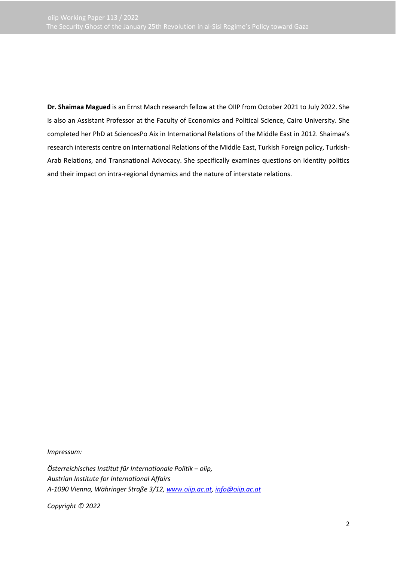**Dr. Shaimaa Magued** is an Ernst Mach research fellow at the OIIP from October 2021 to July 2022. She is also an Assistant Professor at the Faculty of Economics and Political Science, Cairo University. She completed her PhD at SciencesPo Aix in International Relations of the Middle East in 2012. Shaimaa's research interests centre on International Relations of the Middle East, Turkish Foreign policy, Turkish-Arab Relations, and Transnational Advocacy. She specifically examines questions on identity politics and their impact on intra-regional dynamics and the nature of interstate relations.

*Impressum:*

*Österreichisches Institut für Internationale Politik – oiip, Austrian Institute for International Affairs A-1090 Vienna, Währinger Straße 3/12[, www.oiip.ac.at,](http://www.oiip.ac.at/) [info@oiip.ac.at](mailto:info@oiip.ac.at)*

*Copyright © 2022*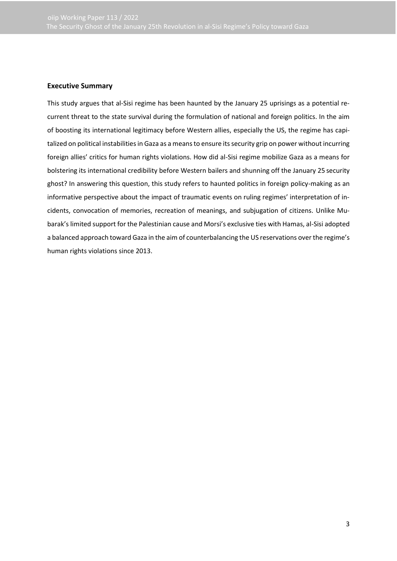### **Executive Summary**

This study argues that al-Sisi regime has been haunted by the January 25 uprisings as a potential recurrent threat to the state survival during the formulation of national and foreign politics. In the aim of boosting its international legitimacy before Western allies, especially the US, the regime has capitalized on political instabilities in Gaza as a means to ensure its security grip on power without incurring foreign allies' critics for human rights violations. How did al-Sisi regime mobilize Gaza as a means for bolstering its international credibility before Western bailers and shunning off the January 25 security ghost? In answering this question, this study refers to haunted politics in foreign policy-making as an informative perspective about the impact of traumatic events on ruling regimes' interpretation of incidents, convocation of memories, recreation of meanings, and subjugation of citizens. Unlike Mubarak's limited support for the Palestinian cause and Morsi's exclusive ties with Hamas, al-Sisi adopted a balanced approach toward Gaza in the aim of counterbalancing the US reservations over the regime's human rights violations since 2013.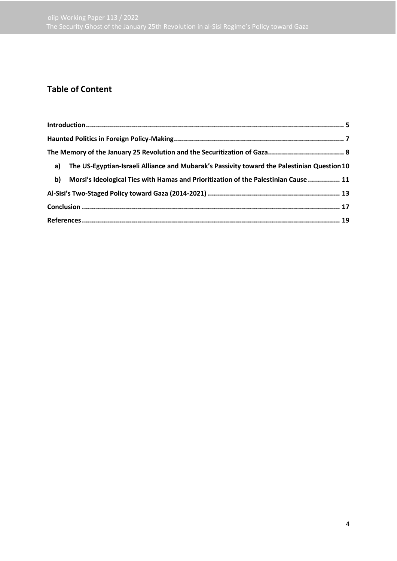# **Table of Content**

|    | a) The US-Egyptian-Israeli Alliance and Mubarak's Passivity toward the Palestinian Question 10 |  |
|----|------------------------------------------------------------------------------------------------|--|
| b) | Morsi's Ideological Ties with Hamas and Prioritization of the Palestinian Cause  11            |  |
|    |                                                                                                |  |
|    |                                                                                                |  |
|    |                                                                                                |  |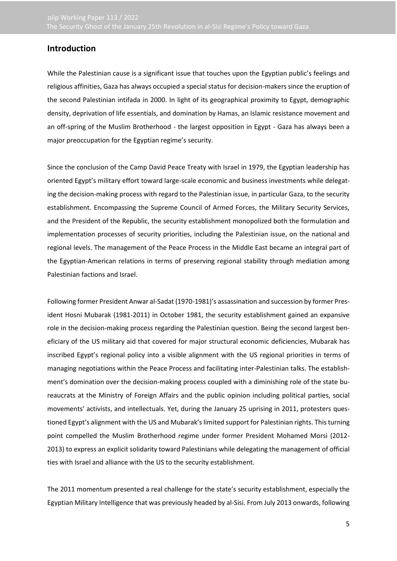## <span id="page-4-0"></span>**Introduction**

While the Palestinian cause is a significant issue that touches upon the Egyptian public's feelings and religious affinities, Gaza has always occupied a special status for decision-makers since the eruption of the second Palestinian intifada in 2000. In light of its geographical proximity to Egypt, demographic density, deprivation of life essentials, and domination by Hamas, an Islamic resistance movement and an off-spring of the Muslim Brotherhood - the largest opposition in Egypt - Gaza has always been a major preoccupation for the Egyptian regime's security.

Since the conclusion of the Camp David Peace Treaty with Israel in 1979, the Egyptian leadership has oriented Egypt's military effort toward large-scale economic and business investments while delegating the decision-making process with regard to the Palestinian issue, in particular Gaza, to the security establishment. Encompassing the Supreme Council of Armed Forces, the Military Security Services, and the President of the Republic, the security establishment monopolized both the formulation and implementation processes of security priorities, including the Palestinian issue, on the national and regional levels. The management of the Peace Process in the Middle East became an integral part of the Egyptian-American relations in terms of preserving regional stability through mediation among Palestinian factions and Israel.

Following former President Anwar al-Sadat (1970-1981)'s assassination and succession by former President Hosni Mubarak (1981-2011) in October 1981, the security establishment gained an expansive role in the decision-making process regarding the Palestinian question. Being the second largest beneficiary of the US military aid that covered for major structural economic deficiencies, Mubarak has inscribed Egypt's regional policy into a visible alignment with the US regional priorities in terms of managing negotiations within the Peace Process and facilitating inter-Palestinian talks. The establishment's domination over the decision-making process coupled with a diminishing role of the state bureaucrats at the Ministry of Foreign Affairs and the public opinion including political parties, social movements' activists, and intellectuals. Yet, during the January 25 uprising in 2011, protesters questioned Egypt's alignment with the US and Mubarak's limited support for Palestinian rights. This turning point compelled the Muslim Brotherhood regime under former President Mohamed Morsi (2012- 2013) to express an explicit solidarity toward Palestinians while delegating the management of official ties with Israel and alliance with the US to the security establishment.

The 2011 momentum presented a real challenge for the state's security establishment, especially the Egyptian Military Intelligence that was previously headed by al-Sisi. From July 2013 onwards, following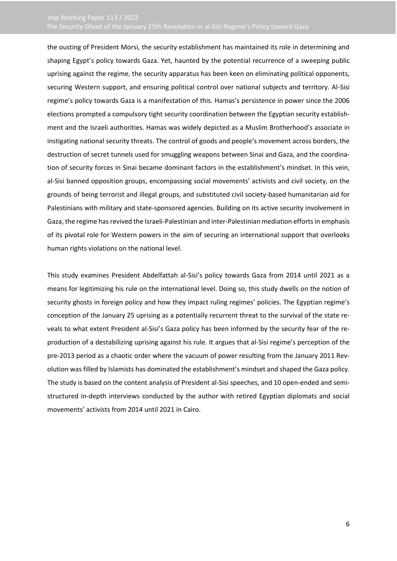the ousting of President Morsi, the security establishment has maintained its role in determining and shaping Egypt's policy towards Gaza. Yet, haunted by the potential recurrence of a sweeping public uprising against the regime, the security apparatus has been keen on eliminating political opponents, securing Western support, and ensuring political control over national subjects and territory. Al-Sisi regime's policy towards Gaza is a manifestation of this. Hamas's persistence in power since the 2006 elections prompted a compulsory tight security coordination between the Egyptian security establishment and the Israeli authorities. Hamas was widely depicted as a Muslim Brotherhood's associate in instigating national security threats. The control of goods and people's movement across borders, the destruction of secret tunnels used for smuggling weapons between Sinai and Gaza, and the coordination of security forces in Sinai became dominant factors in the establishment's mindset. In this vein, al-Sisi banned opposition groups, encompassing social movements' activists and civil society, on the grounds of being terrorist and illegal groups, and substituted civil society-based humanitarian aid for Palestinians with military and state-sponsored agencies. Building on its active security involvement in Gaza, the regime has revived the Israeli-Palestinian and inter-Palestinian mediation efforts in emphasis of its pivotal role for Western powers in the aim of securing an international support that overlooks human rights violations on the national level.

This study examines President Abdelfattah al-Sisi's policy towards Gaza from 2014 until 2021 as a means for legitimizing his rule on the international level. Doing so, this study dwells on the notion of security ghosts in foreign policy and how they impact ruling regimes' policies. The Egyptian regime's conception of the January 25 uprising as a potentially recurrent threat to the survival of the state reveals to what extent President al-Sisi's Gaza policy has been informed by the security fear of the reproduction of a destabilizing uprising against his rule. It argues that al-Sisi regime's perception of the pre-2013 period as a chaotic order where the vacuum of power resulting from the January 2011 Revolution was filled by Islamists has dominated the establishment's mindset and shaped the Gaza policy. The study is based on the content analysis of President al-Sisi speeches, and 10 open-ended and semistructured in-depth interviews conducted by the author with retired Egyptian diplomats and social movements' activists from 2014 until 2021 in Cairo.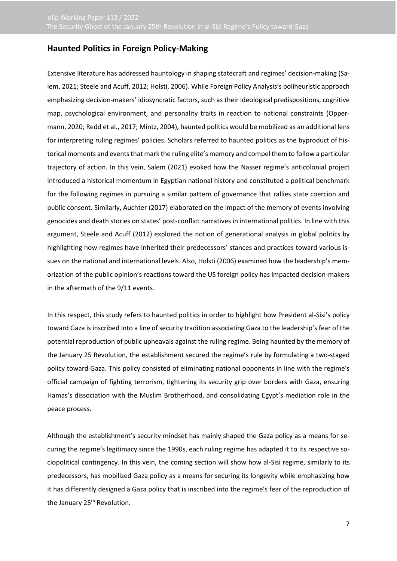## <span id="page-6-0"></span>**Haunted Politics in Foreign Policy-Making**

Extensive literature has addressed hauntology in shaping statecraft and regimes' decision-making (Salem, 2021; Steele and Acuff, 2012; Holsti, 2006). While Foreign Policy Analysis's poliheuristic approach emphasizing decision-makers' idiosyncratic factors, such as their ideological predispositions, cognitive map, psychological environment, and personality traits in reaction to national constraints (Oppermann, 2020; Redd et al., 2017; Mintz, 2004), haunted politics would be mobilized as an additional lens for interpreting ruling regimes' policies. Scholars referred to haunted politics as the byproduct of historical moments and events that mark the ruling elite's memory and compel them to follow a particular trajectory of action. In this vein, Salem (2021) evoked how the Nasser regime's anticolonial project introduced a historical momentum in Egyptian national history and constituted a political benchmark for the following regimes in pursuing a similar pattern of governance that rallies state coercion and public consent. Similarly, Auchter (2017) elaborated on the impact of the memory of events involving genocides and death stories on states' post-conflict narratives in international politics. In line with this argument, Steele and Acuff (2012) explored the notion of generational analysis in global politics by highlighting how regimes have inherited their predecessors' stances and practices toward various issues on the national and international levels. Also, Holsti (2006) examined how the leadership's memorization of the public opinion's reactions toward the US foreign policy has impacted decision-makers in the aftermath of the 9/11 events.

In this respect, this study refers to haunted politics in order to highlight how President al-Sisi's policy toward Gaza is inscribed into a line of security tradition associating Gaza to the leadership's fear of the potential reproduction of public upheavals against the ruling regime. Being haunted by the memory of the January 25 Revolution, the establishment secured the regime's rule by formulating a two-staged policy toward Gaza. This policy consisted of eliminating national opponents in line with the regime's official campaign of fighting terrorism, tightening its security grip over borders with Gaza, ensuring Hamas's dissociation with the Muslim Brotherhood, and consolidating Egypt's mediation role in the peace process.

Although the establishment's security mindset has mainly shaped the Gaza policy as a means for securing the regime's legitimacy since the 1990s, each ruling regime has adapted it to its respective sociopolitical contingency. In this vein, the coming section will show how al-Sisi regime, similarly to its predecessors, has mobilized Gaza policy as a means for securing its longevity while emphasizing how it has differently designed a Gaza policy that is inscribed into the regime's fear of the reproduction of the January 25<sup>th</sup> Revolution.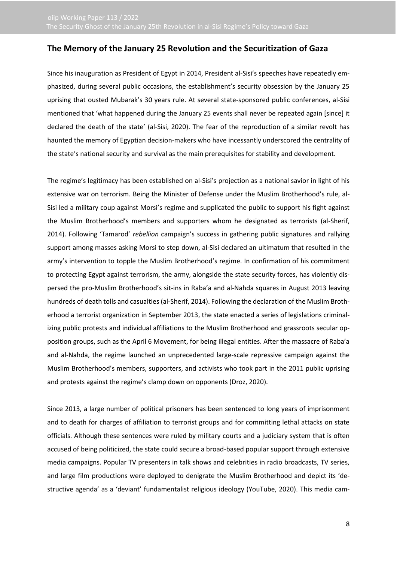## <span id="page-7-0"></span>**The Memory of the January 25 Revolution and the Securitization of Gaza**

Since his inauguration as President of Egypt in 2014, President al-Sisi's speeches have repeatedly emphasized, during several public occasions, the establishment's security obsession by the January 25 uprising that ousted Mubarak's 30 years rule. At several state-sponsored public conferences, al-Sisi mentioned that 'what happened during the January 25 events shall never be repeated again [since] it declared the death of the state' (al-Sisi, 2020). The fear of the reproduction of a similar revolt has haunted the memory of Egyptian decision-makers who have incessantly underscored the centrality of the state's national security and survival as the main prerequisites for stability and development.

The regime's legitimacy has been established on al-Sisi's projection as a national savior in light of his extensive war on terrorism. Being the Minister of Defense under the Muslim Brotherhood's rule, al-Sisi led a military coup against Morsi's regime and supplicated the public to support his fight against the Muslim Brotherhood's members and supporters whom he designated as terrorists (al-Sherif, 2014). Following 'Tamarod' *rebellion* campaign's success in gathering public signatures and rallying support among masses asking Morsi to step down, al-Sisi declared an ultimatum that resulted in the army's intervention to topple the Muslim Brotherhood's regime. In confirmation of his commitment to protecting Egypt against terrorism, the army, alongside the state security forces, has violently dispersed the pro-Muslim Brotherhood's sit-ins in Raba'a and al-Nahda squares in August 2013 leaving hundreds of death tolls and casualties (al-Sherif, 2014). Following the declaration of the Muslim Brotherhood a terrorist organization in September 2013, the state enacted a series of legislations criminalizing public protests and individual affiliations to the Muslim Brotherhood and grassroots secular opposition groups, such as the April 6 Movement, for being illegal entities. After the massacre of Raba'a and al-Nahda, the regime launched an unprecedented large-scale repressive campaign against the Muslim Brotherhood's members, supporters, and activists who took part in the 2011 public uprising and protests against the regime's clamp down on opponents (Droz, 2020).

Since 2013, a large number of political prisoners has been sentenced to long years of imprisonment and to death for charges of affiliation to terrorist groups and for committing lethal attacks on state officials. Although these sentences were ruled by military courts and a judiciary system that is often accused of being politicized, the state could secure a broad-based popular support through extensive media campaigns. Popular TV presenters in talk shows and celebrities in radio broadcasts, TV series, and large film productions were deployed to denigrate the Muslim Brotherhood and depict its 'destructive agenda' as a 'deviant' fundamentalist religious ideology (YouTube, 2020). This media cam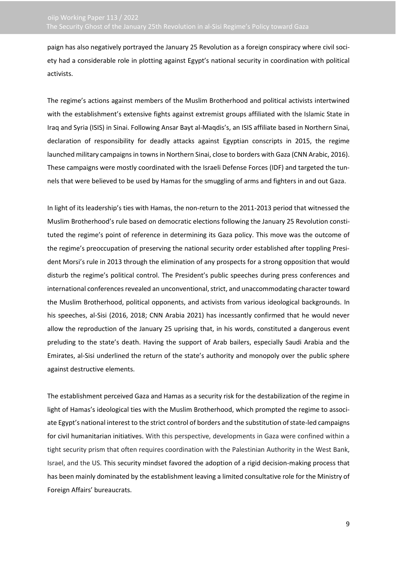paign has also negatively portrayed the January 25 Revolution as a foreign conspiracy where civil society had a considerable role in plotting against Egypt's national security in coordination with political activists.

The regime's actions against members of the Muslim Brotherhood and political activists intertwined with the establishment's extensive fights against extremist groups affiliated with the Islamic State in Iraq and Syria (ISIS) in Sinai. Following Ansar Bayt al-Maqdis's, an ISIS affiliate based in Northern Sinai, declaration of responsibility for deadly attacks against Egyptian conscripts in 2015, the regime launched military campaigns in towns in Northern Sinai, close to borders with Gaza (CNN Arabic, 2016). These campaigns were mostly coordinated with the Israeli Defense Forces (IDF) and targeted the tunnels that were believed to be used by Hamas for the smuggling of arms and fighters in and out Gaza.

In light of its leadership's ties with Hamas, the non-return to the 2011-2013 period that witnessed the Muslim Brotherhood's rule based on democratic elections following the January 25 Revolution constituted the regime's point of reference in determining its Gaza policy. This move was the outcome of the regime's preoccupation of preserving the national security order established after toppling President Morsi's rule in 2013 through the elimination of any prospects for a strong opposition that would disturb the regime's political control. The President's public speeches during press conferences and international conferences revealed an unconventional, strict, and unaccommodating character toward the Muslim Brotherhood, political opponents, and activists from various ideological backgrounds. In his speeches, al-Sisi (2016, 2018; CNN Arabia 2021) has incessantly confirmed that he would never allow the reproduction of the January 25 uprising that, in his words, constituted a dangerous event preluding to the state's death. Having the support of Arab bailers, especially Saudi Arabia and the Emirates, al-Sisi underlined the return of the state's authority and monopoly over the public sphere against destructive elements.

The establishment perceived Gaza and Hamas as a security risk for the destabilization of the regime in light of Hamas's ideological ties with the Muslim Brotherhood, which prompted the regime to associate Egypt's national interest to the strict control of borders and the substitution of state-led campaigns for civil humanitarian initiatives. With this perspective, developments in Gaza were confined within a tight security prism that often requires coordination with the Palestinian Authority in the West Bank, Israel, and the US. This security mindset favored the adoption of a rigid decision-making process that has been mainly dominated by the establishment leaving a limited consultative role for the Ministry of Foreign Affairs' bureaucrats.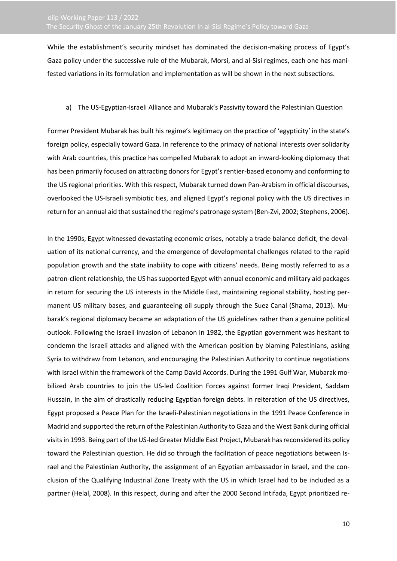While the establishment's security mindset has dominated the decision-making process of Egypt's Gaza policy under the successive rule of the Mubarak, Morsi, and al-Sisi regimes, each one has manifested variations in its formulation and implementation as will be shown in the next subsections.

### <span id="page-9-0"></span>a) The US-Egyptian-Israeli Alliance and Mubarak's Passivity toward the Palestinian Question

Former President Mubarak has built his regime's legitimacy on the practice of 'egypticity' in the state's foreign policy, especially toward Gaza. In reference to the primacy of national interests over solidarity with Arab countries, this practice has compelled Mubarak to adopt an inward-looking diplomacy that has been primarily focused on attracting donors for Egypt's rentier-based economy and conforming to the US regional priorities. With this respect, Mubarak turned down Pan-Arabism in official discourses, overlooked the US-Israeli symbiotic ties, and aligned Egypt's regional policy with the US directives in return for an annual aid that sustained the regime's patronage system (Ben-Zvi, 2002; Stephens, 2006).

In the 1990s, Egypt witnessed devastating economic crises, notably a trade balance deficit, the devaluation of its national currency, and the emergence of developmental challenges related to the rapid population growth and the state inability to cope with citizens' needs. Being mostly referred to as a patron-client relationship, the US has supported Egypt with annual economic and military aid packages in return for securing the US interests in the Middle East, maintaining regional stability, hosting permanent US military bases, and guaranteeing oil supply through the Suez Canal (Shama, 2013). Mubarak's regional diplomacy became an adaptation of the US guidelines rather than a genuine political outlook. Following the Israeli invasion of Lebanon in 1982, the Egyptian government was hesitant to condemn the Israeli attacks and aligned with the American position by blaming Palestinians, asking Syria to withdraw from Lebanon, and encouraging the Palestinian Authority to continue negotiations with Israel within the framework of the Camp David Accords. During the 1991 Gulf War, Mubarak mobilized Arab countries to join the US-led Coalition Forces against former Iraqi President, Saddam Hussain, in the aim of drastically reducing Egyptian foreign debts. In reiteration of the US directives, Egypt proposed a Peace Plan for the Israeli-Palestinian negotiations in the 1991 Peace Conference in Madrid and supported the return of the Palestinian Authority to Gaza and the West Bank during official visits in 1993. Being part of the US-led Greater Middle East Project, Mubarak has reconsidered its policy toward the Palestinian question. He did so through the facilitation of peace negotiations between Israel and the Palestinian Authority, the assignment of an Egyptian ambassador in Israel, and the conclusion of the Qualifying Industrial Zone Treaty with the US in which Israel had to be included as a partner (Helal, 2008). In this respect, during and after the 2000 Second Intifada, Egypt prioritized re-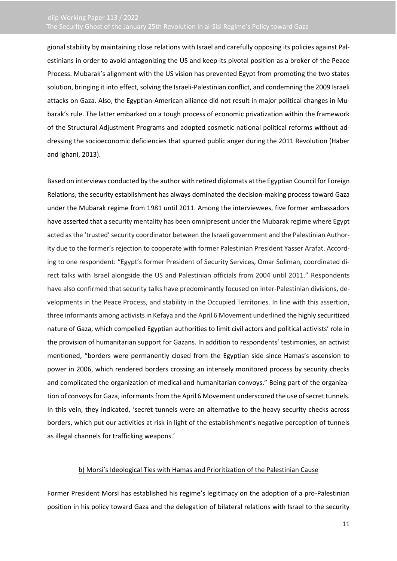gional stability by maintaining close relations with Israel and carefully opposing its policies against Palestinians in order to avoid antagonizing the US and keep its pivotal position as a broker of the Peace Process. Mubarak's alignment with the US vision has prevented Egypt from promoting the two states solution, bringing it into effect, solving the Israeli-Palestinian conflict, and condemning the 2009 Israeli attacks on Gaza. Also, the Egyptian-American alliance did not result in major political changes in Mubarak's rule. The latter embarked on a tough process of economic privatization within the framework of the Structural Adjustment Programs and adopted cosmetic national political reforms without addressing the socioeconomic deficiencies that spurred public anger during the 2011 Revolution (Haber and Ighani, 2013).

Based on interviews conducted by the author with retired diplomats at the Egyptian Council for Foreign Relations, the security establishment has always dominated the decision-making process toward Gaza under the Mubarak regime from 1981 until 2011. Among the interviewees, five former ambassadors have asserted that a security mentality has been omnipresent under the Mubarak regime where Egypt acted as the 'trusted' security coordinator between the Israeli government and the Palestinian Authority due to the former's rejection to cooperate with former Palestinian President Yasser Arafat. According to one respondent: "Egypt's former President of Security Services, Omar Soliman, coordinated direct talks with Israel alongside the US and Palestinian officials from 2004 until 2011." Respondents have also confirmed that security talks have predominantly focused on inter-Palestinian divisions, developments in the Peace Process, and stability in the Occupied Territories. In line with this assertion, three informants among activists in Kefaya and the April 6 Movement underlined the highly securitized nature of Gaza, which compelled Egyptian authorities to limit civil actors and political activists' role in the provision of humanitarian support for Gazans. In addition to respondents' testimonies, an activist mentioned, "borders were permanently closed from the Egyptian side since Hamas's ascension to power in 2006, which rendered borders crossing an intensely monitored process by security checks and complicated the organization of medical and humanitarian convoys." Being part of the organization of convoys for Gaza, informants from the April 6 Movement underscored the use of secret tunnels. In this vein, they indicated, 'secret tunnels were an alternative to the heavy security checks across borders, which put our activities at risk in light of the establishment's negative perception of tunnels as illegal channels for trafficking weapons.'

### b) Morsi's Ideological Ties with Hamas and Prioritization of the Palestinian Cause

<span id="page-10-0"></span>Former President Morsi has established his regime's legitimacy on the adoption of a pro-Palestinian position in his policy toward Gaza and the delegation of bilateral relations with Israel to the security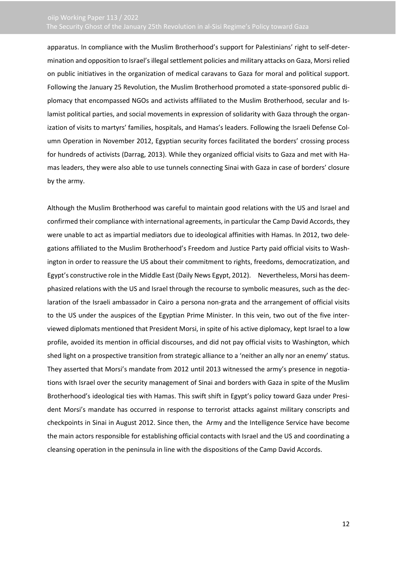apparatus. In compliance with the Muslim Brotherhood's support for Palestinians' right to self-determination and opposition to Israel's illegal settlement policies and military attacks on Gaza, Morsi relied on public initiatives in the organization of medical caravans to Gaza for moral and political support. Following the January 25 Revolution, the Muslim Brotherhood promoted a state-sponsored public diplomacy that encompassed NGOs and activists affiliated to the Muslim Brotherhood, secular and Islamist political parties, and social movements in expression of solidarity with Gaza through the organization of visits to martyrs' families, hospitals, and Hamas's leaders. Following the Israeli Defense Column Operation in November 2012, Egyptian security forces facilitated the borders' crossing process for hundreds of activists (Darrag, 2013). While they organized official visits to Gaza and met with Hamas leaders, they were also able to use tunnels connecting Sinai with Gaza in case of borders' closure by the army.

Although the Muslim Brotherhood was careful to maintain good relations with the US and Israel and confirmed their compliance with international agreements, in particular the Camp David Accords, they were unable to act as impartial mediators due to ideological affinities with Hamas. In 2012, two delegations affiliated to the Muslim Brotherhood's Freedom and Justice Party paid official visits to Washington in order to reassure the US about their commitment to rights, freedoms, democratization, and Egypt's constructive role in the Middle East (Daily News Egypt, 2012). Nevertheless, Morsi has deemphasized relations with the US and Israel through the recourse to symbolic measures, such as the declaration of the Israeli ambassador in Cairo a persona non-grata and the arrangement of official visits to the US under the auspices of the Egyptian Prime Minister. In this vein, two out of the five interviewed diplomats mentioned that President Morsi, in spite of his active diplomacy, kept Israel to a low profile, avoided its mention in official discourses, and did not pay official visits to Washington, which shed light on a prospective transition from strategic alliance to a 'neither an ally nor an enemy' status. They asserted that Morsi's mandate from 2012 until 2013 witnessed the army's presence in negotiations with Israel over the security management of Sinai and borders with Gaza in spite of the Muslim Brotherhood's ideological ties with Hamas. This swift shift in Egypt's policy toward Gaza under President Morsi's mandate has occurred in response to terrorist attacks against military conscripts and checkpoints in Sinai in August 2012. Since then, the Army and the Intelligence Service have become the main actors responsible for establishing official contacts with Israel and the US and coordinating a cleansing operation in the peninsula in line with the dispositions of the Camp David Accords.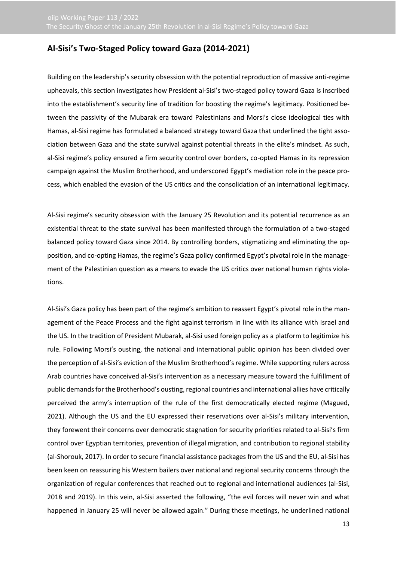# <span id="page-12-0"></span>**Al-Sisi's Two-Staged Policy toward Gaza (2014-2021)**

Building on the leadership's security obsession with the potential reproduction of massive anti-regime upheavals, this section investigates how President al-Sisi's two-staged policy toward Gaza is inscribed into the establishment's security line of tradition for boosting the regime's legitimacy. Positioned between the passivity of the Mubarak era toward Palestinians and Morsi's close ideological ties with Hamas, al-Sisi regime has formulated a balanced strategy toward Gaza that underlined the tight association between Gaza and the state survival against potential threats in the elite's mindset. As such, al-Sisi regime's policy ensured a firm security control over borders, co-opted Hamas in its repression campaign against the Muslim Brotherhood, and underscored Egypt's mediation role in the peace process, which enabled the evasion of the US critics and the consolidation of an international legitimacy.

Al-Sisi regime's security obsession with the January 25 Revolution and its potential recurrence as an existential threat to the state survival has been manifested through the formulation of a two-staged balanced policy toward Gaza since 2014. By controlling borders, stigmatizing and eliminating the opposition, and co-opting Hamas, the regime's Gaza policy confirmed Egypt's pivotal role in the management of the Palestinian question as a means to evade the US critics over national human rights violations.

Al-Sisi's Gaza policy has been part of the regime's ambition to reassert Egypt's pivotal role in the management of the Peace Process and the fight against terrorism in line with its alliance with Israel and the US. In the tradition of President Mubarak, al-Sisi used foreign policy as a platform to legitimize his rule. Following Morsi's ousting, the national and international public opinion has been divided over the perception of al-Sisi's eviction of the Muslim Brotherhood's regime. While supporting rulers across Arab countries have conceived al-Sisi's intervention as a necessary measure toward the fulfillment of public demands for the Brotherhood's ousting, regional countries and international allies have critically perceived the army's interruption of the rule of the first democratically elected regime (Magued, 2021). Although the US and the EU expressed their reservations over al-Sisi's military intervention, they forewent their concerns over democratic stagnation for security priorities related to al-Sisi's firm control over Egyptian territories, prevention of illegal migration, and contribution to regional stability (al-Shorouk, 2017). In order to secure financial assistance packages from the US and the EU, al-Sisi has been keen on reassuring his Western bailers over national and regional security concerns through the organization of regular conferences that reached out to regional and international audiences (al-Sisi, 2018 and 2019). In this vein, al-Sisi asserted the following, "the evil forces will never win and what happened in January 25 will never be allowed again." During these meetings, he underlined national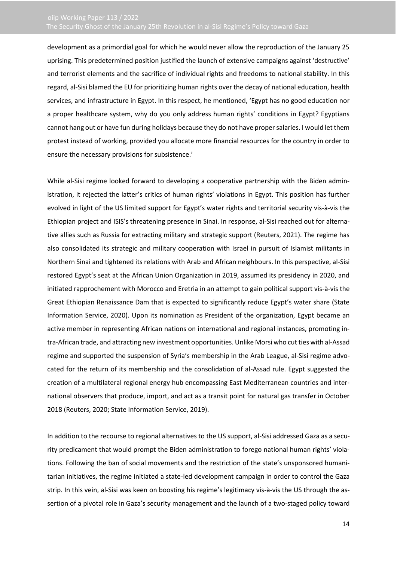development as a primordial goal for which he would never allow the reproduction of the January 25 uprising. This predetermined position justified the launch of extensive campaigns against 'destructive' and terrorist elements and the sacrifice of individual rights and freedoms to national stability. In this regard, al-Sisi blamed the EU for prioritizing human rights over the decay of national education, health services, and infrastructure in Egypt. In this respect, he mentioned, 'Egypt has no good education nor a proper healthcare system, why do you only address human rights' conditions in Egypt? Egyptians cannot hang out or have fun during holidays because they do not have proper salaries. I would let them protest instead of working, provided you allocate more financial resources for the country in order to ensure the necessary provisions for subsistence.'

While al-Sisi regime looked forward to developing a cooperative partnership with the Biden administration, it rejected the latter's critics of human rights' violations in Egypt. This position has further evolved in light of the US limited support for Egypt's water rights and territorial security vis-à-vis the Ethiopian project and ISIS's threatening presence in Sinai. In response, al-Sisi reached out for alternative allies such as Russia for extracting military and strategic support (Reuters, 2021). The regime has also consolidated its strategic and military cooperation with Israel in pursuit of Islamist militants in Northern Sinai and tightened its relations with Arab and African neighbours. In this perspective, al-Sisi restored Egypt's seat at the African Union Organization in 2019, assumed its presidency in 2020, and initiated rapprochement with Morocco and Eretria in an attempt to gain political support vis-à-vis the Great Ethiopian Renaissance Dam that is expected to significantly reduce Egypt's water share (State Information Service, 2020). Upon its nomination as President of the organization, Egypt became an active member in representing African nations on international and regional instances, promoting intra-African trade, and attracting new investment opportunities. Unlike Morsi who cut ties with al-Assad regime and supported the suspension of Syria's membership in the Arab League, al-Sisi regime advocated for the return of its membership and the consolidation of al-Assad rule. Egypt suggested the creation of a multilateral regional energy hub encompassing East Mediterranean countries and international observers that produce, import, and act as a transit point for natural gas transfer in October 2018 (Reuters, 2020; State Information Service, 2019).

In addition to the recourse to regional alternatives to the US support, al-Sisi addressed Gaza as a security predicament that would prompt the Biden administration to forego national human rights' violations. Following the ban of social movements and the restriction of the state's unsponsored humanitarian initiatives, the regime initiated a state-led development campaign in order to control the Gaza strip. In this vein, al-Sisi was keen on boosting his regime's legitimacy vis-à-vis the US through the assertion of a pivotal role in Gaza's security management and the launch of a two-staged policy toward

14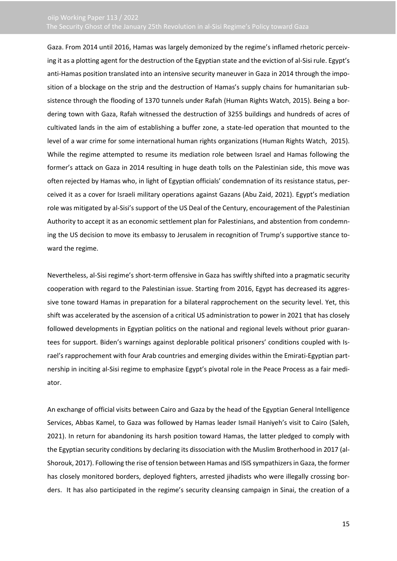Gaza. From 2014 until 2016, Hamas was largely demonized by the regime's inflamed rhetoric perceiving it as a plotting agent for the destruction of the Egyptian state and the eviction of al-Sisi rule. Egypt's anti-Hamas position translated into an intensive security maneuver in Gaza in 2014 through the imposition of a blockage on the strip and the destruction of Hamas's supply chains for humanitarian subsistence through the flooding of 1370 tunnels under Rafah (Human Rights Watch, 2015). Being a bordering town with Gaza, Rafah witnessed the destruction of 3255 buildings and hundreds of acres of cultivated lands in the aim of establishing a buffer zone, a state-led operation that mounted to the level of a war crime for some international human rights organizations (Human Rights Watch, 2015). While the regime attempted to resume its mediation role between Israel and Hamas following the former's attack on Gaza in 2014 resulting in huge death tolls on the Palestinian side, this move was often rejected by Hamas who, in light of Egyptian officials' condemnation of its resistance status, perceived it as a cover for Israeli military operations against Gazans (Abu Zaid, 2021). Egypt's mediation role was mitigated by al-Sisi's support of the US Deal of the Century, encouragement of the Palestinian Authority to accept it as an economic settlement plan for Palestinians, and abstention from condemning the US decision to move its embassy to Jerusalem in recognition of Trump's supportive stance toward the regime.

Nevertheless, al-Sisi regime's short-term offensive in Gaza has swiftly shifted into a pragmatic security cooperation with regard to the Palestinian issue. Starting from 2016, Egypt has decreased its aggressive tone toward Hamas in preparation for a bilateral rapprochement on the security level. Yet, this shift was accelerated by the ascension of a critical US administration to power in 2021 that has closely followed developments in Egyptian politics on the national and regional levels without prior guarantees for support. Biden's warnings against deplorable political prisoners' conditions coupled with Israel's rapprochement with four Arab countries and emerging divides within the Emirati-Egyptian partnership in inciting al-Sisi regime to emphasize Egypt's pivotal role in the Peace Process as a fair mediator.

An exchange of official visits between Cairo and Gaza by the head of the Egyptian General Intelligence Services, Abbas Kamel, to Gaza was followed by Hamas leader Ismail Haniyeh's visit to Cairo (Saleh, 2021). In return for abandoning its harsh position toward Hamas, the latter pledged to comply with the Egyptian security conditions by declaring its dissociation with the Muslim Brotherhood in 2017 (al-Shorouk, 2017). Following the rise of tension between Hamas and ISIS sympathizers in Gaza, the former has closely monitored borders, deployed fighters, arrested jihadists who were illegally crossing borders. It has also participated in the regime's security cleansing campaign in Sinai, the creation of a

15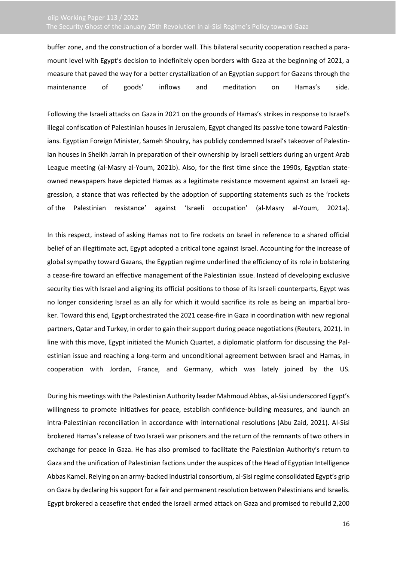buffer zone, and the construction of a border wall. This bilateral security cooperation reached a paramount level with Egypt's decision to indefinitely open borders with Gaza at the beginning of 2021, a measure that paved the way for a better crystallization of an Egyptian support for Gazans through the maintenance of goods' inflows and meditation on Hamas's side.

Following the Israeli attacks on Gaza in 2021 on the grounds of Hamas's strikes in response to Israel's illegal confiscation of Palestinian houses in Jerusalem, Egypt changed its passive tone toward Palestinians. Egyptian Foreign Minister, Sameh Shoukry, has publicly condemned Israel's takeover of Palestinian houses in Sheikh Jarrah in preparation of their ownership by Israeli settlers during an urgent Arab League meeting (al-Masry al-Youm, 2021b). Also, for the first time since the 1990s, Egyptian stateowned newspapers have depicted Hamas as a legitimate resistance movement against an Israeli aggression, a stance that was reflected by the adoption of supporting statements such as the 'rockets of the Palestinian resistance' against 'Israeli occupation' (al-Masry al-Youm, 2021a).

In this respect, instead of asking Hamas not to fire rockets on Israel in reference to a shared official belief of an illegitimate act, Egypt adopted a critical tone against Israel. Accounting for the increase of global sympathy toward Gazans, the Egyptian regime underlined the efficiency of its role in bolstering a cease-fire toward an effective management of the Palestinian issue. Instead of developing exclusive security ties with Israel and aligning its official positions to those of its Israeli counterparts, Egypt was no longer considering Israel as an ally for which it would sacrifice its role as being an impartial broker. Toward this end, Egypt orchestrated the 2021 cease-fire in Gaza in coordination with new regional partners, Qatar and Turkey, in order to gain their support during peace negotiations (Reuters, 2021). In line with this move, Egypt initiated the Munich Quartet, a diplomatic platform for discussing the Palestinian issue and reaching a long-term and unconditional agreement between Israel and Hamas, in cooperation with Jordan, France, and Germany, which was lately joined by the US.

During his meetings with the Palestinian Authority leader Mahmoud Abbas, al-Sisi underscored Egypt's willingness to promote initiatives for peace, establish confidence-building measures, and launch an intra-Palestinian reconciliation in accordance with international resolutions (Abu Zaid, 2021). Al-Sisi brokered Hamas's release of two Israeli war prisoners and the return of the remnants of two others in exchange for peace in Gaza. He has also promised to facilitate the Palestinian Authority's return to Gaza and the unification of Palestinian factions under the auspices of the Head of Egyptian Intelligence Abbas Kamel. Relying on an army-backed industrial consortium, al-Sisi regime consolidated Egypt's grip on Gaza by declaring his support for a fair and permanent resolution between Palestinians and Israelis. Egypt brokered a ceasefire that ended the Israeli armed attack on Gaza and promised to rebuild 2,200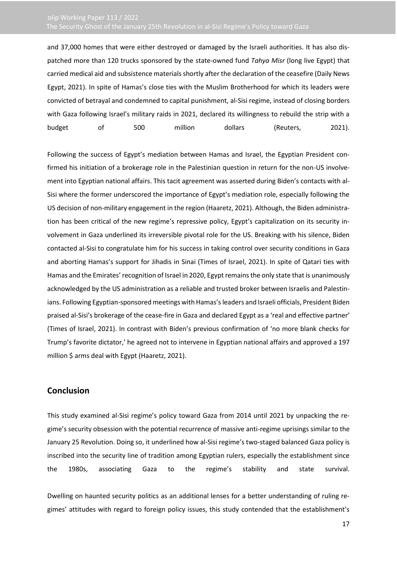and 37,000 homes that were either destroyed or damaged by the Israeli authorities. It has also dispatched more than 120 trucks sponsored by the state-owned fund *Tahya Misr* (long live Egypt) that carried medical aid and subsistence materials shortly after the declaration of the ceasefire (Daily News Egypt, 2021). In spite of Hamas's close ties with the Muslim Brotherhood for which its leaders were convicted of betrayal and condemned to capital punishment, al-Sisi regime, instead of closing borders with Gaza following Israel's military raids in 2021, declared its willingness to rebuild the strip with a budget of 500 million dollars (Reuters, 2021).

Following the success of Egypt's mediation between Hamas and Israel, the Egyptian President confirmed his initiation of a brokerage role in the Palestinian question in return for the non-US involvement into Egyptian national affairs. This tacit agreement was asserted during Biden's contacts with al-Sisi where the former underscored the importance of Egypt's mediation role, especially following the US decision of non-military engagement in the region (Haaretz, 2021). Although, the Biden administration has been critical of the new regime's repressive policy, Egypt's capitalization on its security involvement in Gaza underlined its irreversible pivotal role for the US. Breaking with his silence, Biden contacted al-Sisi to congratulate him for his success in taking control over security conditions in Gaza and aborting Hamas's support for Jihadis in Sinai (Times of Israel, 2021). In spite of Qatari ties with Hamas and the Emirates' recognition of Israel in 2020, Egypt remains the only state that is unanimously acknowledged by the US administration as a reliable and trusted broker between Israelis and Palestinians. Following Egyptian-sponsored meetings with Hamas's leaders and Israeli officials, President Biden praised al-Sisi's brokerage of the cease-fire in Gaza and declared Egypt as a 'real and effective partner' (Times of Israel, 2021). In contrast with Biden's previous confirmation of 'no more blank checks for Trump's favorite dictator,' he agreed not to intervene in Egyptian national affairs and approved a 197 million \$ arms deal with Egypt (Haaretz, 2021).

### <span id="page-16-0"></span>**Conclusion**

This study examined al-Sisi regime's policy toward Gaza from 2014 until 2021 by unpacking the regime's security obsession with the potential recurrence of massive anti-regime uprisings similar to the January 25 Revolution. Doing so, it underlined how al-Sisi regime's two-staged balanced Gaza policy is inscribed into the security line of tradition among Egyptian rulers, especially the establishment since the 1980s, associating Gaza to the regime's stability and state survival.

Dwelling on haunted security politics as an additional lenses for a better understanding of ruling regimes' attitudes with regard to foreign policy issues, this study contended that the establishment's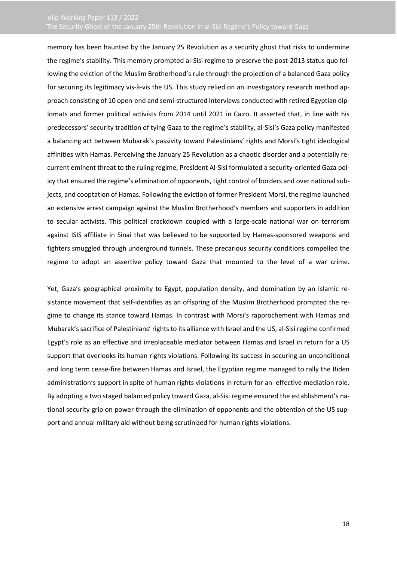memory has been haunted by the January 25 Revolution as a security ghost that risks to undermine the regime's stability. This memory prompted al-Sisi regime to preserve the post-2013 status quo following the eviction of the Muslim Brotherhood's rule through the projection of a balanced Gaza policy for securing its legitimacy vis-à-vis the US. This study relied on an investigatory research method approach consisting of 10 open-end and semi-structured interviews conducted with retired Egyptian diplomats and former political activists from 2014 until 2021 in Cairo. It asserted that, in line with his predecessors' security tradition of tying Gaza to the regime's stability, al-Sisi's Gaza policy manifested a balancing act between Mubarak's passivity toward Palestinians' rights and Morsi's tight ideological affinities with Hamas. Perceiving the January 25 Revolution as a chaotic disorder and a potentially recurrent eminent threat to the ruling regime, President Al-Sisi formulated a security-oriented Gaza policy that ensured the regime's elimination of opponents, tight control of borders and over national subjects, and cooptation of Hamas. Following the eviction of former President Morsi, the regime launched an extensive arrest campaign against the Muslim Brotherhood's members and supporters in addition to secular activists. This political crackdown coupled with a large-scale national war on terrorism against ISIS affiliate in Sinai that was believed to be supported by Hamas-sponsored weapons and fighters smuggled through underground tunnels. These precarious security conditions compelled the regime to adopt an assertive policy toward Gaza that mounted to the level of a war crime.

Yet, Gaza's geographical proximity to Egypt, population density, and domination by an Islamic resistance movement that self-identifies as an offspring of the Muslim Brotherhood prompted the regime to change its stance toward Hamas. In contrast with Morsi's rapprochement with Hamas and Mubarak's sacrifice of Palestinians' rights to its alliance with Israel and the US, al-Sisi regime confirmed Egypt's role as an effective and irreplaceable mediator between Hamas and Israel in return for a US support that overlooks its human rights violations. Following its success in securing an unconditional and long term cease-fire between Hamas and Israel, the Egyptian regime managed to rally the Biden administration's support in spite of human rights violations in return for an effective mediation role. By adopting a two staged balanced policy toward Gaza, al-Sisi regime ensured the establishment's national security grip on power through the elimination of opponents and the obtention of the US support and annual military aid without being scrutinized for human rights violations.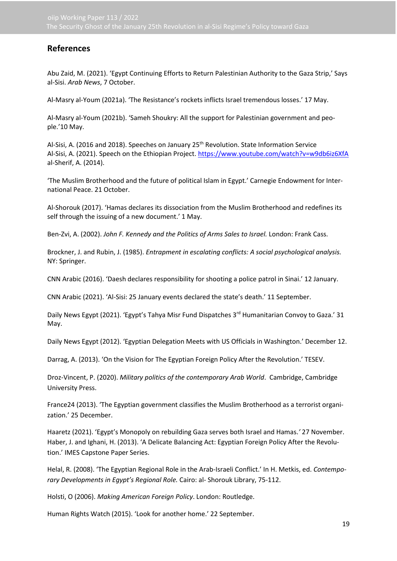## <span id="page-18-0"></span>**References**

Abu Zaid, M. (2021). 'Egypt Continuing Efforts to Return Palestinian Authority to the Gaza Strip,' Says al-Sisi. *Arab News*, 7 October.

Al-Masry al-Youm (2021a). 'The Resistance's rockets inflicts Israel tremendous losses.' 17 May.

Al-Masry al-Youm (2021b). 'Sameh Shoukry: All the support for Palestinian government and people.'10 May.

Al-Sisi, A. (2016 and 2018). Speeches on January 25<sup>th</sup> Revolution. State Information Service Al-Sisi, A. (2021). Speech on the Ethiopian Project.<https://www.youtube.com/watch?v=w9db6iz6XfA> al-Sherif, A. (2014).

'The Muslim Brotherhood and the future of political Islam in Egypt.' Carnegie Endowment for International Peace. 21 October.

Al-Shorouk (2017). 'Hamas declares its dissociation from the Muslim Brotherhood and redefines its self through the issuing of a new document.' 1 May.

Ben-Zvi, A. (2002). *John F. Kennedy and the Politics of Arms Sales to Israel.* London: Frank Cass.

Brockner, J. and Rubin, J. (1985). *Entrapment in escalating conflicts: A social psychological analysis.* NY: Springer.

CNN Arabic (2016). 'Daesh declares responsibility for shooting a police patrol in Sinai.' 12 January.

CNN Arabic (2021). 'Al-Sisi: 25 January events declared the state's death.' 11 September.

Daily News Egypt (2021). 'Egypt's Tahya Misr Fund Dispatches 3<sup>rd</sup> Humanitarian Convoy to Gaza.' 31 May.

Daily News Egypt (2012). 'Egyptian Delegation Meets with US Officials in Washington.' December 12.

Darrag, A. (2013). 'On the Vision for The Egyptian Foreign Policy After the Revolution.' TESEV.

Droz-Vincent, P. (2020). *Military politics of the contemporary Arab World*. Cambridge, Cambridge University Press.

France24 (2013). 'The Egyptian government classifies the Muslim Brotherhood as a terrorist organization.' 25 December.

Haaretz (2021). 'Egypt's Monopoly on rebuilding Gaza serves both Israel and Hamas.*'* 27 November. Haber, J. and Ighani, H. (2013). 'A Delicate Balancing Act: Egyptian Foreign Policy After the Revolution.' IMES Capstone Paper Series.

Helal, R. (2008). 'The Egyptian Regional Role in the Arab-Israeli Conflict.' In H. Metkis, ed. *Contemporary Developments in Egypt's Regional Role.* Cairo: al- Shorouk Library, 75-112.

Holsti, O (2006). *Making American Foreign Policy*. London: Routledge.

Human Rights Watch (2015). 'Look for another home.' 22 September.